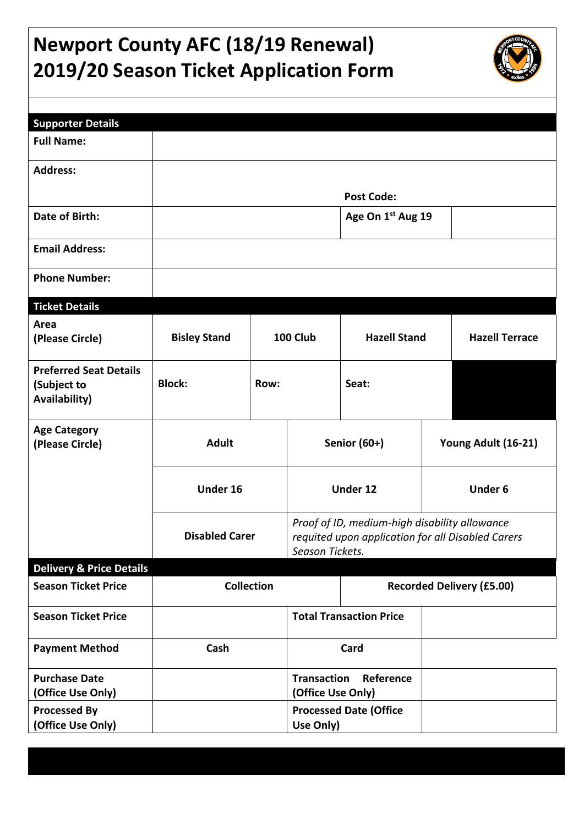# **Newport County AFC (18/19 Renewal) 2019/20 Season Ticket Application Form**



| <b>Supporter Details</b>                                      |                     |                                                                                                                                                |           |                                |  |                                  |  |
|---------------------------------------------------------------|---------------------|------------------------------------------------------------------------------------------------------------------------------------------------|-----------|--------------------------------|--|----------------------------------|--|
| <b>Full Name:</b>                                             |                     |                                                                                                                                                |           |                                |  |                                  |  |
| <b>Address:</b>                                               |                     |                                                                                                                                                |           |                                |  |                                  |  |
|                                                               |                     |                                                                                                                                                |           | <b>Post Code:</b>              |  |                                  |  |
| Date of Birth:                                                |                     |                                                                                                                                                |           | Age On 1 <sup>st</sup> Aug 19  |  |                                  |  |
| <b>Email Address:</b>                                         |                     |                                                                                                                                                |           |                                |  |                                  |  |
| <b>Phone Number:</b>                                          |                     |                                                                                                                                                |           |                                |  |                                  |  |
| <b>Ticket Details</b>                                         |                     |                                                                                                                                                |           |                                |  |                                  |  |
| Area<br>(Please Circle)                                       | <b>Bisley Stand</b> |                                                                                                                                                | 100 Club  | <b>Hazell Stand</b>            |  | <b>Hazell Terrace</b>            |  |
| <b>Preferred Seat Details</b><br>(Subject to<br>Availability) | <b>Block:</b>       | Row:                                                                                                                                           |           | Seat:                          |  |                                  |  |
| <b>Age Category</b><br>(Please Circle)                        | <b>Adult</b>        |                                                                                                                                                |           | Senior (60+)                   |  | Young Adult (16-21)              |  |
|                                                               | Under 16            |                                                                                                                                                | Under 12  |                                |  | <b>Under 6</b>                   |  |
|                                                               |                     | Proof of ID, medium-high disability allowance<br><b>Disabled Carer</b><br>requited upon application for all Disabled Carers<br>Season Tickets. |           |                                |  |                                  |  |
| <b>Delivery &amp; Price Details</b>                           |                     |                                                                                                                                                |           |                                |  |                                  |  |
| <b>Season Ticket Price</b>                                    | <b>Collection</b>   |                                                                                                                                                |           |                                |  | <b>Recorded Delivery (£5.00)</b> |  |
| <b>Season Ticket Price</b>                                    |                     |                                                                                                                                                |           | <b>Total Transaction Price</b> |  |                                  |  |
| <b>Payment Method</b>                                         | Cash                |                                                                                                                                                | Card      |                                |  |                                  |  |
| <b>Purchase Date</b><br>(Office Use Only)                     |                     | <b>Transaction</b><br>(Office Use Only)                                                                                                        |           | Reference                      |  |                                  |  |
| <b>Processed By</b><br>(Office Use Only)                      |                     |                                                                                                                                                | Use Only) | <b>Processed Date (Office</b>  |  |                                  |  |